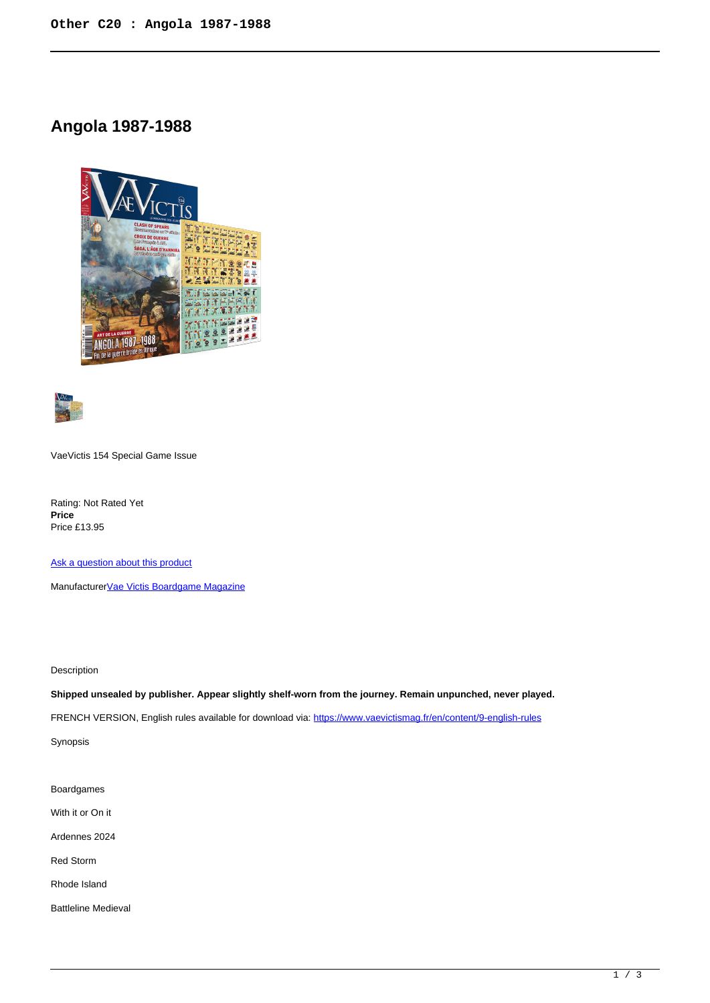## **Angola 1987-1988**





VaeVictis 154 Special Game Issue

Rating: Not Rated Yet **Price**  Price £13.95

[Ask a question about this product](https://www.secondchancegames.com/index.php?option=com_virtuemart&view=productdetails&task=askquestion&virtuemart_product_id=13740&virtuemart_category_id=23&tmpl=component)

Manufacturer[Vae Victis Boardgame Magazine](https://www.secondchancegames.com/index.php?option=com_virtuemart&view=manufacturer&virtuemart_manufacturer_id=2879&tmpl=component)

Description

**Shipped unsealed by publisher. Appear slightly shelf-worn from the journey. Remain unpunched, never played.**

FRENCH VERSION, English rules available for download via:<https://www.vaevictismag.fr/en/content/9-english-rules>

Synopsis

Boardgames

With it or On it

Ardennes 2024

Red Storm

Rhode Island

Battleline Medieval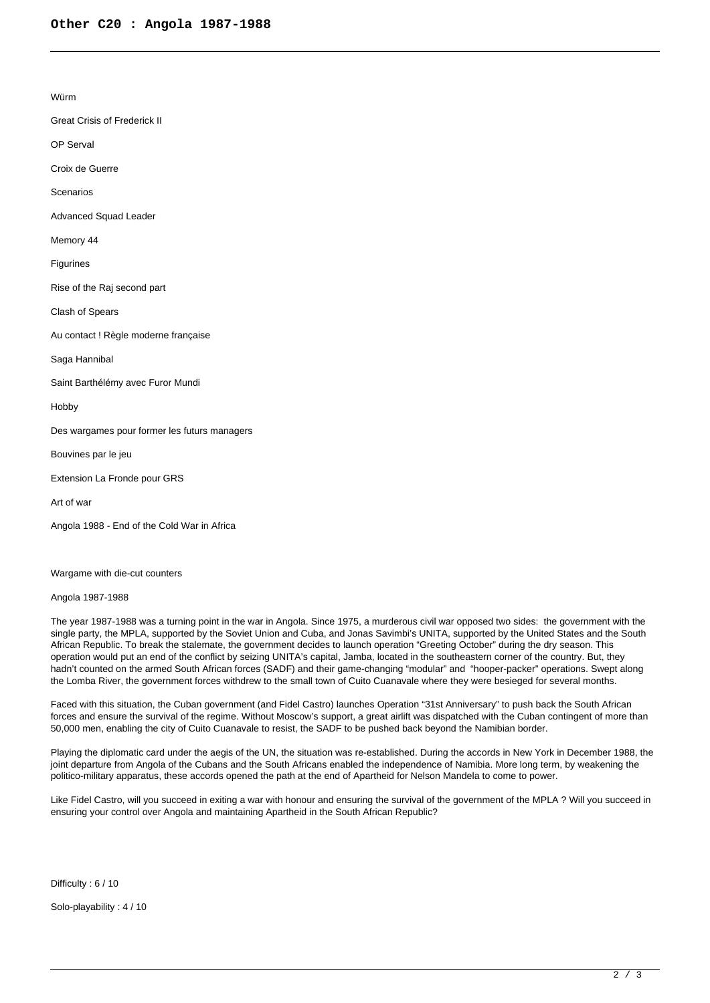Würm

- Great Crisis of Frederick II
- OP Serval
- Croix de Guerre

Scenarios

Advanced Squad Leader

Memory 44

Figurines

Rise of the Raj second part

Clash of Spears

Au contact ! Règle moderne française

Saga Hannibal

Saint Barthélémy avec Furor Mundi

Hobby

Des wargames pour former les futurs managers

Bouvines par le jeu

Extension La Fronde pour GRS

Art of war

Angola 1988 - End of the Cold War in Africa

Wargame with die-cut counters

Angola 1987-1988

The year 1987-1988 was a turning point in the war in Angola. Since 1975, a murderous civil war opposed two sides: the government with the single party, the MPLA, supported by the Soviet Union and Cuba, and Jonas Savimbi's UNITA, supported by the United States and the South African Republic. To break the stalemate, the government decides to launch operation "Greeting October" during the dry season. This operation would put an end of the conflict by seizing UNITA's capital, Jamba, located in the southeastern corner of the country. But, they hadn't counted on the armed South African forces (SADF) and their game-changing "modular" and "hooper-packer" operations. Swept along the Lomba River, the government forces withdrew to the small town of Cuito Cuanavale where they were besieged for several months.

Faced with this situation, the Cuban government (and Fidel Castro) launches Operation "31st Anniversary" to push back the South African forces and ensure the survival of the regime. Without Moscow's support, a great airlift was dispatched with the Cuban contingent of more than 50,000 men, enabling the city of Cuito Cuanavale to resist, the SADF to be pushed back beyond the Namibian border.

Playing the diplomatic card under the aegis of the UN, the situation was re-established. During the accords in New York in December 1988, the joint departure from Angola of the Cubans and the South Africans enabled the independence of Namibia. More long term, by weakening the politico-military apparatus, these accords opened the path at the end of Apartheid for Nelson Mandela to come to power.

Like Fidel Castro, will you succeed in exiting a war with honour and ensuring the survival of the government of the MPLA ? Will you succeed in ensuring your control over Angola and maintaining Apartheid in the South African Republic?

Difficulty : 6 / 10

Solo-playability : 4 / 10